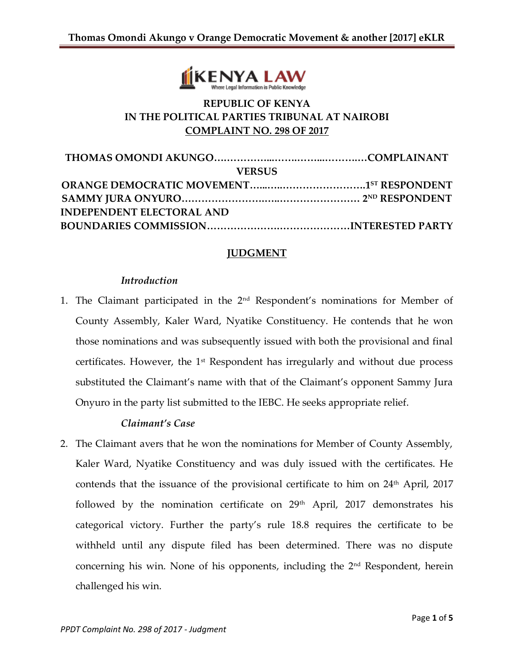

# **REPUBLIC OF KENYA IN THE POLITICAL PARTIES TRIBUNAL AT NAIROBI COMPLAINT NO. 298 OF 2017**

## **JUDGMENT**

#### *Introduction*

1. The Claimant participated in the 2nd Respondent's nominations for Member of County Assembly, Kaler Ward, Nyatike Constituency. He contends that he won those nominations and was subsequently issued with both the provisional and final certificates. However, the 1<sup>st</sup> Respondent has irregularly and without due process substituted the Claimant's name with that of the Claimant's opponent Sammy Jura Onyuro in the party list submitted to the IEBC. He seeks appropriate relief.

### *Claimant's Case*

2. The Claimant avers that he won the nominations for Member of County Assembly, Kaler Ward, Nyatike Constituency and was duly issued with the certificates. He contends that the issuance of the provisional certificate to him on 24<sup>th</sup> April, 2017 followed by the nomination certificate on 29<sup>th</sup> April, 2017 demonstrates his categorical victory. Further the party's rule 18.8 requires the certificate to be withheld until any dispute filed has been determined. There was no dispute concerning his win. None of his opponents, including the  $2<sup>nd</sup>$  Respondent, herein challenged his win.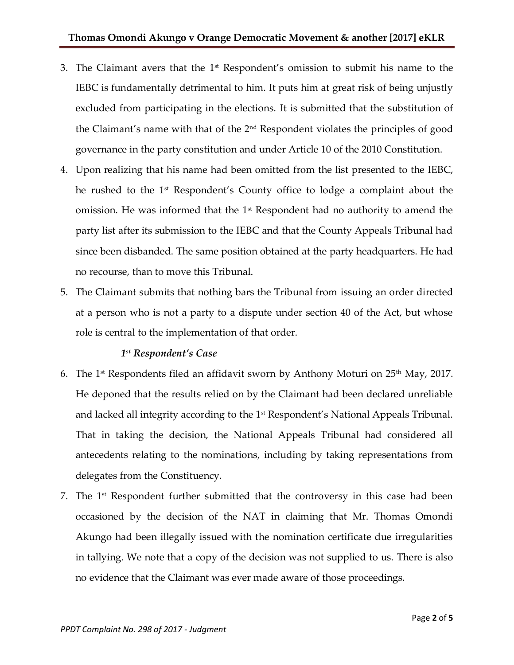- 3. The Claimant avers that the  $1<sup>st</sup>$  Respondent's omission to submit his name to the IEBC is fundamentally detrimental to him. It puts him at great risk of being unjustly excluded from participating in the elections. It is submitted that the substitution of the Claimant's name with that of the 2nd Respondent violates the principles of good governance in the party constitution and under Article 10 of the 2010 Constitution.
- 4. Upon realizing that his name had been omitted from the list presented to the IEBC, he rushed to the 1<sup>st</sup> Respondent's County office to lodge a complaint about the omission. He was informed that the 1<sup>st</sup> Respondent had no authority to amend the party list after its submission to the IEBC and that the County Appeals Tribunal had since been disbanded. The same position obtained at the party headquarters. He had no recourse, than to move this Tribunal.
- 5. The Claimant submits that nothing bars the Tribunal from issuing an order directed at a person who is not a party to a dispute under section 40 of the Act, but whose role is central to the implementation of that order.

# *1 st Respondent's Case*

- 6. The 1<sup>st</sup> Respondents filed an affidavit sworn by Anthony Moturi on  $25<sup>th</sup>$  May, 2017. He deponed that the results relied on by the Claimant had been declared unreliable and lacked all integrity according to the 1<sup>st</sup> Respondent's National Appeals Tribunal. That in taking the decision, the National Appeals Tribunal had considered all antecedents relating to the nominations, including by taking representations from delegates from the Constituency.
- 7. The  $1<sup>st</sup>$  Respondent further submitted that the controversy in this case had been occasioned by the decision of the NAT in claiming that Mr. Thomas Omondi Akungo had been illegally issued with the nomination certificate due irregularities in tallying. We note that a copy of the decision was not supplied to us. There is also no evidence that the Claimant was ever made aware of those proceedings.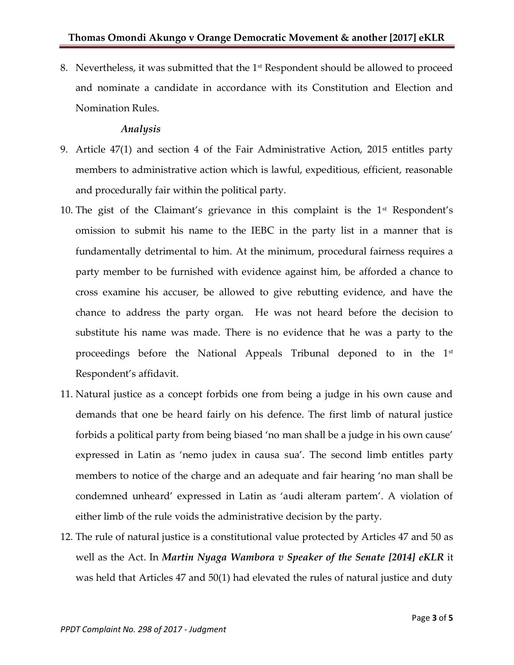8. Nevertheless, it was submitted that the 1<sup>st</sup> Respondent should be allowed to proceed and nominate a candidate in accordance with its Constitution and Election and Nomination Rules.

### *Analysis*

- 9. Article 47(1) and section 4 of the Fair Administrative Action, 2015 entitles party members to administrative action which is lawful, expeditious, efficient, reasonable and procedurally fair within the political party.
- 10. The gist of the Claimant's grievance in this complaint is the  $1<sup>st</sup>$  Respondent's omission to submit his name to the IEBC in the party list in a manner that is fundamentally detrimental to him. At the minimum, procedural fairness requires a party member to be furnished with evidence against him, be afforded a chance to cross examine his accuser, be allowed to give rebutting evidence, and have the chance to address the party organ. He was not heard before the decision to substitute his name was made. There is no evidence that he was a party to the proceedings before the National Appeals Tribunal deponed to in the 1<sup>st</sup> Respondent's affidavit.
- 11. Natural justice as a concept forbids one from being a judge in his own cause and demands that one be heard fairly on his defence. The first limb of natural justice forbids a political party from being biased 'no man shall be a judge in his own cause' expressed in Latin as 'nemo judex in causa sua'. The second limb entitles party members to notice of the charge and an adequate and fair hearing 'no man shall be condemned unheard' expressed in Latin as 'audi alteram partem'. A violation of either limb of the rule voids the administrative decision by the party.
- 12. The rule of natural justice is a constitutional value protected by Articles 47 and 50 as well as the Act. In *Martin Nyaga Wambora v Speaker of the Senate [2014] eKLR* it was held that Articles 47 and 50(1) had elevated the rules of natural justice and duty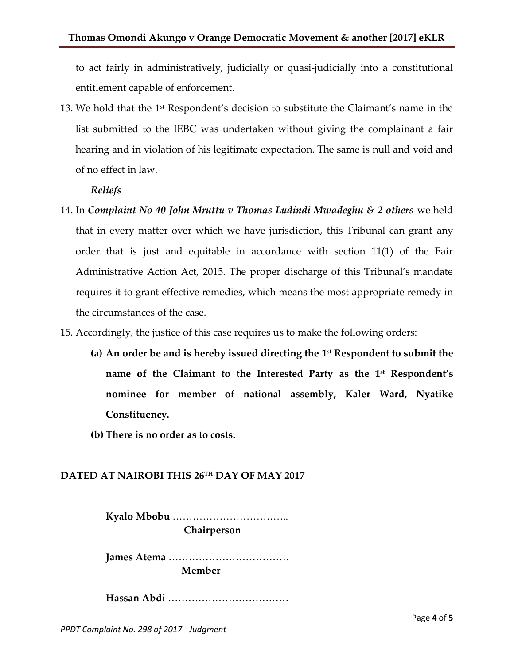to act fairly in administratively, judicially or quasi-judicially into a constitutional entitlement capable of enforcement.

13. We hold that the  $1<sup>st</sup>$  Respondent's decision to substitute the Claimant's name in the list submitted to the IEBC was undertaken without giving the complainant a fair hearing and in violation of his legitimate expectation. The same is null and void and of no effect in law.

#### *Reliefs*

- 14. In *Complaint No 40 John Mruttu v Thomas Ludindi Mwadeghu & 2 others* we held that in every matter over which we have jurisdiction, this Tribunal can grant any order that is just and equitable in accordance with section 11(1) of the Fair Administrative Action Act, 2015. The proper discharge of this Tribunal's mandate requires it to grant effective remedies, which means the most appropriate remedy in the circumstances of the case.
- 15. Accordingly, the justice of this case requires us to make the following orders:
	- **(a) An order be and is hereby issued directing the 1 st Respondent to submit the name of the Claimant to the Interested Party as the 1st Respondent's nominee for member of national assembly, Kaler Ward, Nyatike Constituency.**
	- **(b) There is no order as to costs.**

### **DATED AT NAIROBI THIS 26TH DAY OF MAY 2017**

**Kyalo Mbobu** …………………………….. **Chairperson**

**James Atema** ……………………………… **Member**

**Hassan Abdi** ………………………………